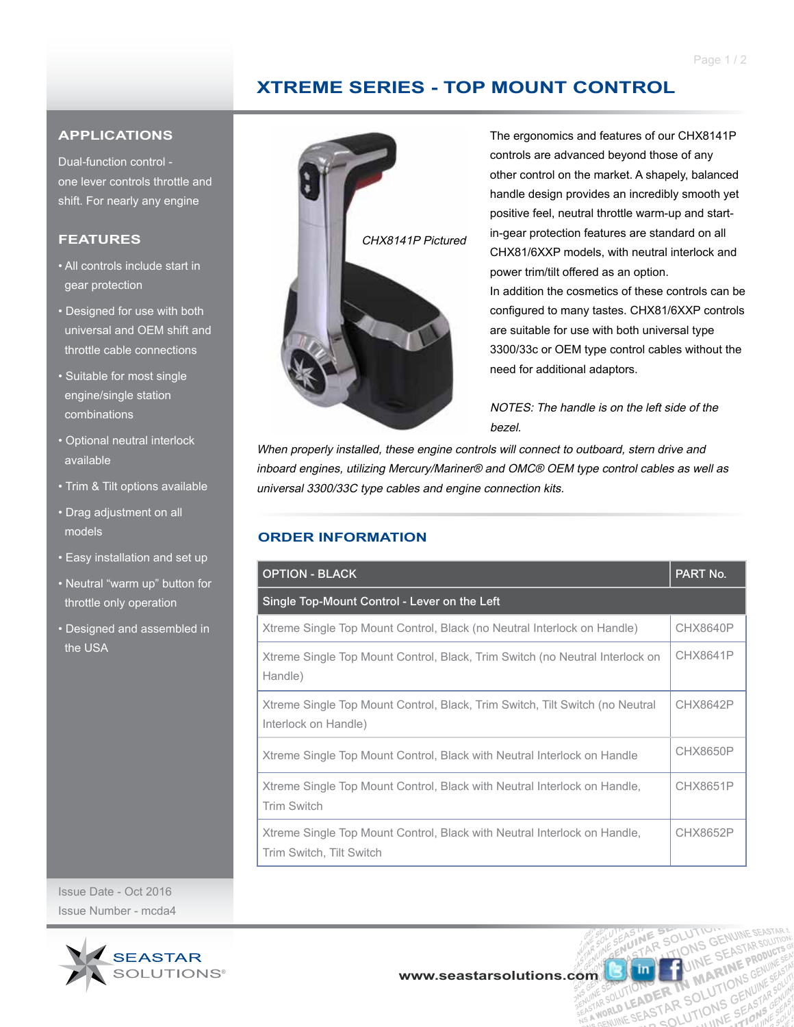# **XTREME SERIES - TOP MOUNT CONTROL**

#### **APPLICATIONS**

Dual-function control one lever controls throttle and shift. For nearly any engine

### **FEATURES**

- All controls include start in gear protection
- Designed for use with both universal and OEM shift and throttle cable connections
- Suitable for most single engine/single station combinations
- Optional neutral interlock available
- Trim & Tilt options available
- Drag adjustment on all models
- Easy installation and set up
- Neutral "warm up" button for throttle only operation
- Designed and assembled in the USA

Issue Date - Oct 2016 Issue Number - mcda4





The ergonomics and features of our CHX8141P controls are advanced beyond those of any other control on the market. A shapely, balanced handle design provides an incredibly smooth yet positive feel, neutral throttle warm-up and startin-gear protection features are standard on all CHX81/6XXP models, with neutral interlock and power trim/tilt offered as an option.

In addition the cosmetics of these controls can be configured to many tastes. CHX81/6XXP controls are suitable for use with both universal type 3300/33c or OEM type control cables without the need for additional adaptors.

NOTES: The handle is on the left side of the bezel.

RSOLU

UTION FRAME IN MARY

**MA** 

R TN MATIONS SUME

When properly installed, these engine controls will connect to outboard, stern drive and inboard engines, utilizing Mercury/Mariner® and OMC® OEM type control cables as well as universal 3300/33C type cables and engine connection kits.

### **ORDER INFORMATION**

| <b>OPTION - BLACK</b>                                                                                | PART No.        |  |
|------------------------------------------------------------------------------------------------------|-----------------|--|
| Single Top-Mount Control - Lever on the Left                                                         |                 |  |
| Xtreme Single Top Mount Control, Black (no Neutral Interlock on Handle)                              | <b>CHX8640P</b> |  |
| Xtreme Single Top Mount Control, Black, Trim Switch (no Neutral Interlock on<br>Handle)              | <b>CHX8641P</b> |  |
| Xtreme Single Top Mount Control, Black, Trim Switch, Tilt Switch (no Neutral<br>Interlock on Handle) | CHX8642P        |  |
| Xtreme Single Top Mount Control, Black with Neutral Interlock on Handle                              | <b>CHX8650P</b> |  |
| Xtreme Single Top Mount Control, Black with Neutral Interlock on Handle,<br><b>Trim Switch</b>       | <b>CHX8651P</b> |  |
| Xtreme Single Top Mount Control, Black with Neutral Interlock on Handle,<br>Trim Switch, Tilt Switch | CHX8652P        |  |